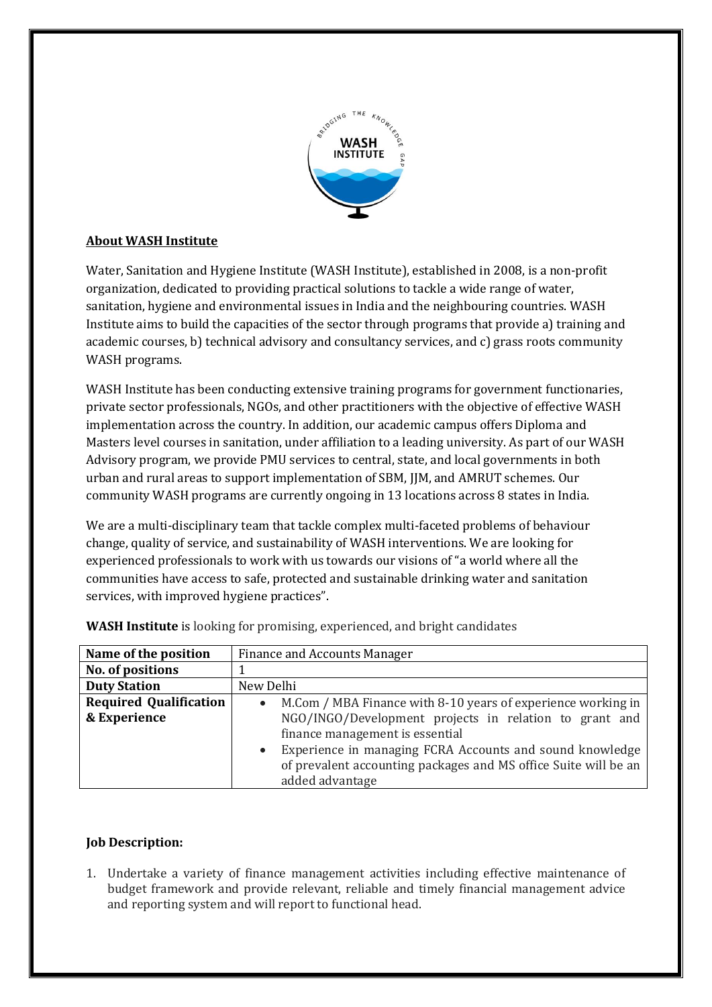

# **About WASH Institute**

Water, Sanitation and Hygiene Institute (WASH Institute), established in 2008, is a non-profit organization, dedicated to providing practical solutions to tackle a wide range of water, sanitation, hygiene and environmental issues in India and the neighbouring countries. WASH Institute aims to build the capacities of the sector through programs that provide a) training and academic courses, b) technical advisory and consultancy services, and c) grass roots community WASH programs.

WASH Institute has been conducting extensive training programs for government functionaries, private sector professionals, NGOs, and other practitioners with the objective of effective WASH implementation across the country. In addition, our academic campus offers Diploma and Masters level courses in sanitation, under affiliation to a leading university. As part of our WASH Advisory program, we provide PMU services to central, state, and local governments in both urban and rural areas to supportimplementation of SBM, JJM, and AMRUT schemes. Our community WASH programs are currently ongoing in 13 locations across 8 states in India.

We are a multi-disciplinary team that tackle complex multi-faceted problems of behaviour change, quality of service, and sustainability of WASH interventions. We are looking for experienced professionals to work with us towards our visions of "a world where all the communities have access to safe, protected and sustainable drinking water and sanitation services, with improved hygiene practices".

| Name of the position          | <b>Finance and Accounts Manager</b>                                                                                                                         |
|-------------------------------|-------------------------------------------------------------------------------------------------------------------------------------------------------------|
| No. of positions              |                                                                                                                                                             |
| <b>Duty Station</b>           | New Delhi                                                                                                                                                   |
| <b>Required Qualification</b> | M.Com / MBA Finance with 8-10 years of experience working in<br>$\bullet$                                                                                   |
| & Experience                  | NGO/INGO/Development projects in relation to grant and<br>finance management is essential                                                                   |
|                               | Experience in managing FCRA Accounts and sound knowledge<br>$\bullet$<br>of prevalent accounting packages and MS office Suite will be an<br>added advantage |

**WASH Institute** is looking for promising, experienced, and bright candidates

## **Job Description:**

1. Undertake a variety of finance management activities including effective maintenance of budget framework and provide relevant, reliable and timely financial management advice and reporting system and will report to functional head.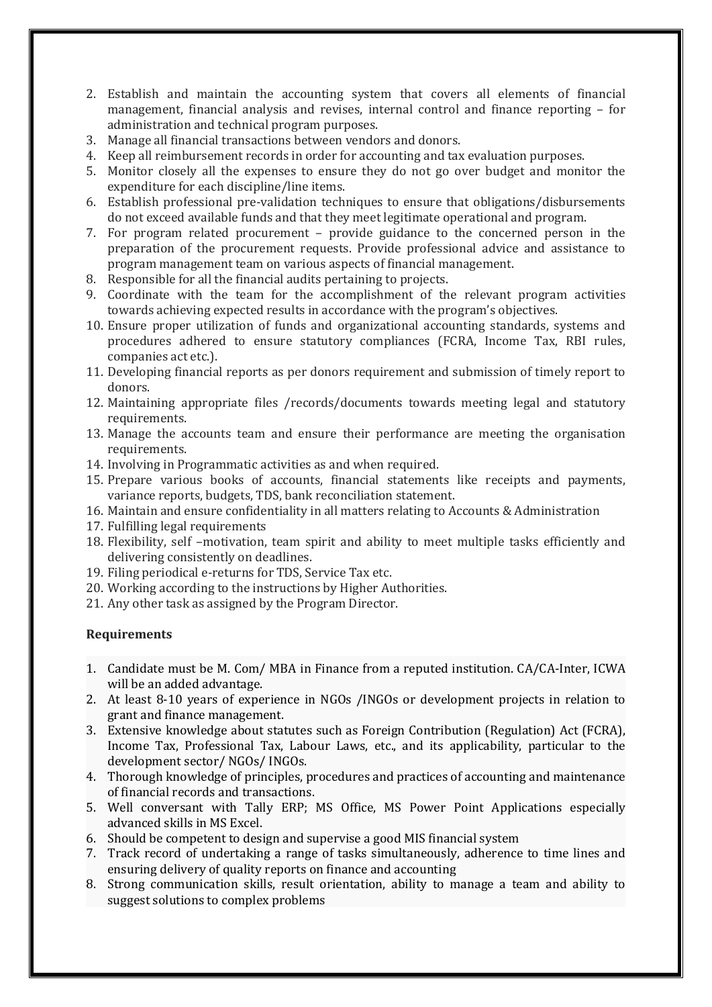- 2. Establish and maintain the accounting system that covers all elements of financial management, financial analysis and revises, internal control and finance reporting – for administration and technical program purposes.
- 3. Manage all financial transactions between vendors and donors.
- 4. Keep all reimbursement records in order for accounting and tax evaluation purposes.
- 5. Monitor closely all the expenses to ensure they do not go over budget and monitor the expenditure for each discipline/line items.
- 6. Establish professional pre-validation techniques to ensure that obligations/disbursements do not exceed available funds and that they meet legitimate operational and program.
- 7. For program related procurement provide guidance to the concerned person in the preparation of the procurement requests. Provide professional advice and assistance to program management team on various aspects of financial management.
- 8. Responsible for all the financial audits pertaining to projects.
- 9. Coordinate with the team for the accomplishment of the relevant program activities towards achieving expected results in accordance with the program's objectives.
- 10. Ensure proper utilization of funds and organizational accounting standards, systems and procedures adhered to ensure statutory compliances (FCRA, Income Tax, RBI rules, companies act etc.).
- 11. Developing financial reports as per donors requirement and submission of timely report to donors.
- 12. Maintaining appropriate files /records/documents towards meeting legal and statutory requirements.
- 13. Manage the accounts team and ensure their performance are meeting the organisation requirements.
- 14. Involving in Programmatic activities as and when required.
- 15. Prepare various books of accounts, financial statements like receipts and payments, variance reports, budgets, TDS, bank reconciliation statement.
- 16. Maintain and ensure confidentiality in all matters relating to Accounts & Administration
- 17. Fulfilling legal requirements
- 18. Flexibility, self –motivation, team spirit and ability to meet multiple tasks efficiently and delivering consistently on deadlines.
- 19. Filing periodical e-returns for TDS, Service Tax etc.
- 20. Working according to the instructions by Higher Authorities.
- 21. Any other task as assigned by the Program Director.

## **Requirements**

- 1. Candidate must be M. Com/ MBA in Finance from a reputed institution. CA/CA-Inter, ICWA will be an added advantage.
- 2. At least 8-10 years of experience in NGOs /INGOs or development projects in relation to grant and finance management.
- 3. Extensive knowledge about statutes such as Foreign Contribution (Regulation) Act (FCRA), Income Tax, Professional Tax, Labour Laws, etc., and its applicability, particular to the development sector/ NGOs/ INGOs.
- 4. Thorough knowledge of principles, procedures and practices of accounting and maintenance of financial records and transactions.
- 5. Well conversant with Tally ERP; MS Office, MS Power Point Applications especially advanced skills in MS Excel.
- 6. Should becompetent to design and supervise a good MIS financial system
- 7. Track record of undertaking a range of tasks simultaneously, adherence to time lines and ensuring delivery of quality reports on finance and accounting
- 8. Strong communication skills, result orientation, ability to manage a team and ability to suggest solutions to complex problems